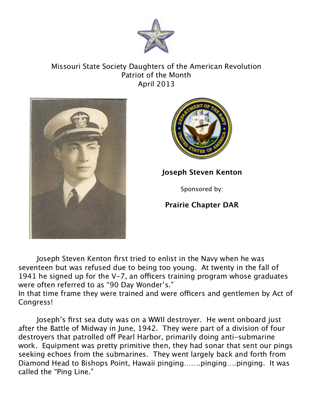

## Missouri State Society Daughters of the American Revolution Patriot of the Month April 2013





**Joseph Steven Kenton**

Sponsored by:

**Prairie Chapter DAR**

Joseph Steven Kenton first tried to enlist in the Navy when he was seventeen but was refused due to being too young. At twenty in the fall of 1941 he signed up for the  $V$ -7, an officers training program whose graduates were often referred to as "90 Day Wonder's."

In that time frame they were trained and were officers and gentlemen by Act of Congress!

Joseph's first sea duty was on a WWII destroyer. He went onboard just after the Battle of Midway in June, 1942. They were part of a division of four destroyers that patrolled off Pearl Harbor, primarily doing anti-submarine work. Equipment was pretty primitive then, they had sonar that sent our pings seeking echoes from the submarines. They went largely back and forth from Diamond Head to Bishops Point, Hawaii pinging…….pinging….pinging. It was called the "Ping Line."